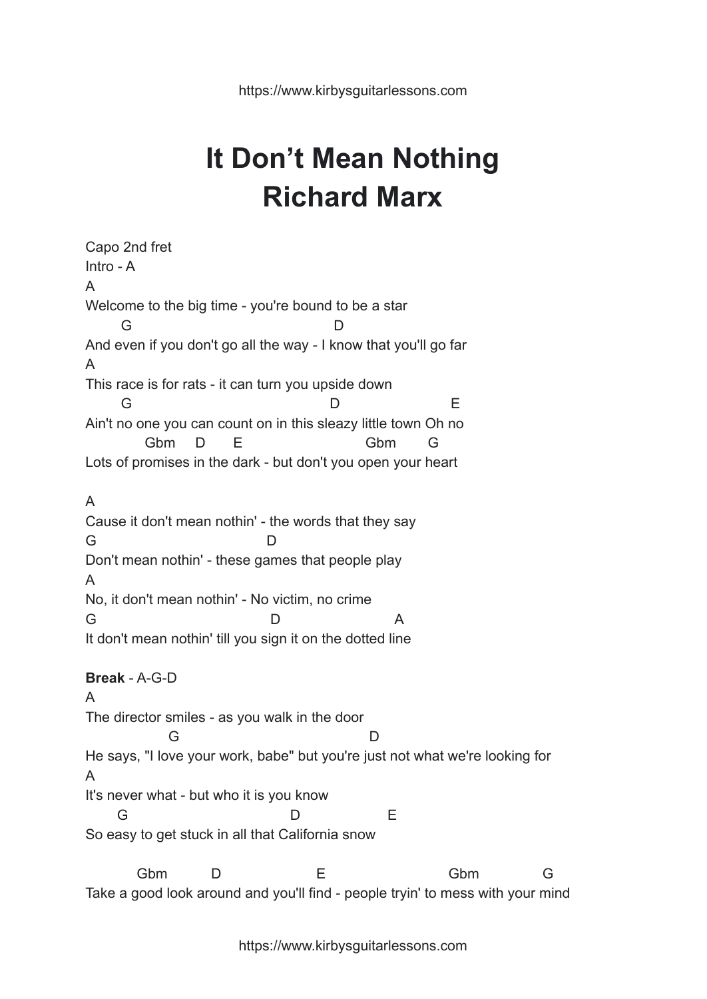## **It Don't Mean Nothing Richard Marx**

Capo 2nd fret Intro - A A Welcome to the big time - you're bound to be a star G D And even if you don't go all the way - I know that you'll go far A This race is for rats - it can turn you upside down G D E Ain't no one you can count on in this sleazy little town Oh no Gbm D E Gbm G Lots of promises in the dark - but don't you open your heart A Cause it don't mean nothin' - the words that they say G D Don't mean nothin' - these games that people play A No, it don't mean nothin' - No victim, no crime G D A It don't mean nothin' till you sign it on the dotted line **Break** - A-G-D A The director smiles - as you walk in the door G D He says, "I love your work, babe" but you're just not what we're looking for A It's never what - but who it is you know G D E So easy to get stuck in all that California snow Gbm D E Gbm G

https://www.kirbysguitarlessons.com

Take a good look around and you'll find - people tryin' to mess with your mind